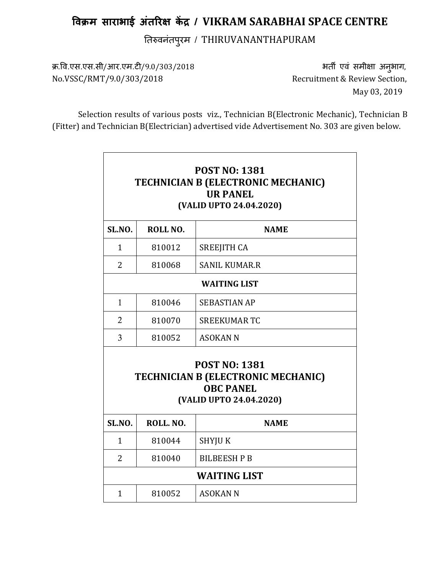## विक्रम साराभाई अंतरिक्ष केंद्र / VIKRAM SARABHAI SPACE CENTRE

तवनंतपुरम / THIRUVANANTHAPURAM

क्र.वि.एस.एस.सी/आर.एम.टी/9.0/303/2018 भती एवं समीक्षा अनुभाग, No.VSSC/RMT/9.0/303/2018 Recruitment & Review Section,

May 03, 2019

Selection results of various posts viz., Technician B(Electronic Mechanic), Technician B (Fitter) and Technician B(Electrician) advertised vide Advertisement No. 303 are given below.

| <b>POST NO: 1381</b><br>TECHNICIAN B (ELECTRONIC MECHANIC)<br><b>UR PANEL</b><br>(VALID UPTO 24.04.2020)         |           |                      |  |  |
|------------------------------------------------------------------------------------------------------------------|-----------|----------------------|--|--|
|                                                                                                                  |           |                      |  |  |
| $\mathbf{1}$                                                                                                     | 810012    | <b>SREEJITH CA</b>   |  |  |
| 2                                                                                                                | 810068    | <b>SANIL KUMAR.R</b> |  |  |
| <b>WAITING LIST</b>                                                                                              |           |                      |  |  |
| $\mathbf{1}$                                                                                                     | 810046    | <b>SEBASTIAN AP</b>  |  |  |
| $\overline{2}$                                                                                                   | 810070    | <b>SREEKUMAR TC</b>  |  |  |
| 3                                                                                                                | 810052    | <b>ASOKAN N</b>      |  |  |
| <b>POST NO: 1381</b><br><b>TECHNICIAN B (ELECTRONIC MECHANIC)</b><br><b>OBC PANEL</b><br>(VALID UPTO 24.04.2020) |           |                      |  |  |
| SL.NO.                                                                                                           | ROLL. NO. | <b>NAME</b>          |  |  |
| $\mathbf{1}$                                                                                                     | 810044    | SHYJU K              |  |  |
| $\overline{2}$                                                                                                   | 810040    | <b>BILBEESH P B</b>  |  |  |
| <b>WAITING LIST</b>                                                                                              |           |                      |  |  |
| $\mathbf{1}$                                                                                                     | 810052    | <b>ASOKAN N</b>      |  |  |